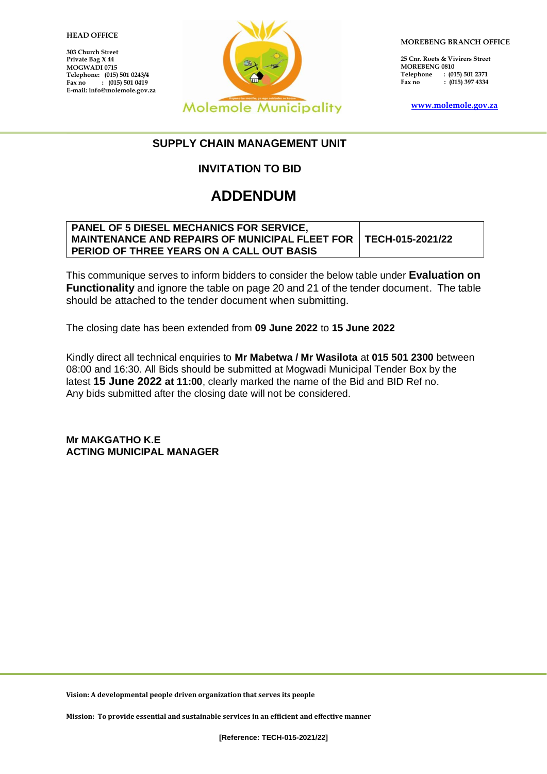## 1 **HEAD OFFICE**

**303 Church Street Private Bag X 44 MOGWADI 0715 Telephone: (015) 501 0243/4**  $\hat{i}$  (015) 501 0419 **E-mail: info@molemole.gov.za**



**MOREBENG BRANCH OFFICE**

**25 Cnr. Roets & Vivirers Street MOREBENG 0810 Telephone : (015) 501 2371 Fax no : (015) 397 4334**

**[www.molemole.gov.za](http://www.molemole.gov.za/)** 

## **SUPPLY CHAIN MANAGEMENT UNIT**

## **INVITATION TO BID**

## **ADDENDUM**

| <b>PANEL OF 5 DIESEL MECHANICS FOR SERVICE,</b>                          |  |
|--------------------------------------------------------------------------|--|
| <b>MAINTENANCE AND REPAIRS OF MUNICIPAL FLEET FOR   TECH-015-2021/22</b> |  |
| PERIOD OF THREE YEARS ON A CALL OUT BASIS                                |  |

This communique serves to inform bidders to consider the below table under **Evaluation on Functionality** and ignore the table on page 20 and 21 of the tender document. The table should be attached to the tender document when submitting.

The closing date has been extended from **09 June 2022** to **15 June 2022**

Kindly direct all technical enquiries to **Mr Mabetwa / Mr Wasilota** at **015 501 2300** between 08:00 and 16:30. All Bids should be submitted at Mogwadi Municipal Tender Box by the latest **15 June 2022 at 11:00**, clearly marked the name of the Bid and BID Ref no. Any bids submitted after the closing date will not be considered.

**Mr MAKGATHO K.E ACTING MUNICIPAL MANAGER**

**Vision: A developmental people driven organization that serves its people**

**Mission: To provide essential and sustainable services in an efficient and effective manner**